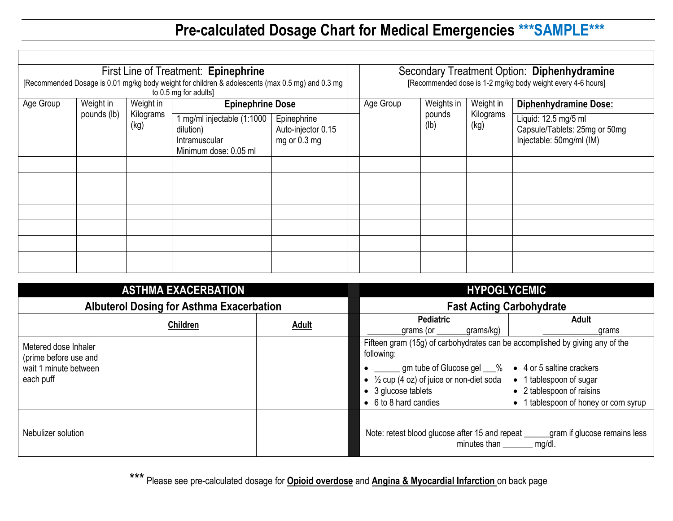## **Pre-calculated Dosage Chart for Medical Emergencies \*\*\*SAMPLE\*\*\***

| First Line of Treatment: Epinephrine<br>[Recommended Dosage is 0.01 mg/kg body weight for children & adolescents (max 0.5 mg) and 0.3 mg<br>to 0.5 mg for adults] |  |                                |                                                                                     |                                                   | Secondary Treatment Option: Diphenhydramine<br>[Recommended dose is 1-2 mg/kg body weight every 4-6 hours] |                |                   |                                                                                   |
|-------------------------------------------------------------------------------------------------------------------------------------------------------------------|--|--------------------------------|-------------------------------------------------------------------------------------|---------------------------------------------------|------------------------------------------------------------------------------------------------------------|----------------|-------------------|-----------------------------------------------------------------------------------|
| Age Group<br>Weight in<br>pounds (lb)                                                                                                                             |  | Weight in<br>Kilograms<br>(kg) | <b>Epinephrine Dose</b>                                                             |                                                   | Age Group                                                                                                  | Weights in     | Weight in         | <b>Diphenhydramine Dose:</b>                                                      |
|                                                                                                                                                                   |  |                                | 1 mg/ml injectable (1:1000  <br>dilution)<br>Intramuscular<br>Minimum dose: 0.05 ml | Epinephrine<br>Auto-injector 0.15<br>mg or 0.3 mg |                                                                                                            | pounds<br>(lb) | Kilograms<br>(kg) | Liquid: 12.5 mg/5 ml<br>Capsule/Tablets: 25mg or 50mg<br>Injectable: 50mg/ml (IM) |
|                                                                                                                                                                   |  |                                |                                                                                     |                                                   |                                                                                                            |                |                   |                                                                                   |
|                                                                                                                                                                   |  |                                |                                                                                     |                                                   |                                                                                                            |                |                   |                                                                                   |
|                                                                                                                                                                   |  |                                |                                                                                     |                                                   |                                                                                                            |                |                   |                                                                                   |
|                                                                                                                                                                   |  |                                |                                                                                     |                                                   |                                                                                                            |                |                   |                                                                                   |
|                                                                                                                                                                   |  |                                |                                                                                     |                                                   |                                                                                                            |                |                   |                                                                                   |
|                                                                                                                                                                   |  |                                |                                                                                     |                                                   |                                                                                                            |                |                   |                                                                                   |
|                                                                                                                                                                   |  |                                |                                                                                     |                                                   |                                                                                                            |                |                   |                                                                                   |

|                                                                                     | <b>ASTHMA EXACERBATION</b>                      |              | <b>HYPOGLYCEMIC</b>                                                                                                                                                                                                                                                 |                                                                                               |  |
|-------------------------------------------------------------------------------------|-------------------------------------------------|--------------|---------------------------------------------------------------------------------------------------------------------------------------------------------------------------------------------------------------------------------------------------------------------|-----------------------------------------------------------------------------------------------|--|
|                                                                                     | <b>Albuterol Dosing for Asthma Exacerbation</b> |              | <b>Fast Acting Carbohydrate</b>                                                                                                                                                                                                                                     |                                                                                               |  |
|                                                                                     | <b>Children</b>                                 | <b>Adult</b> | <b>Pediatric</b><br>grams/kg)<br>_grams (or _                                                                                                                                                                                                                       | <b>Adult</b><br>grams                                                                         |  |
| Metered dose Inhaler<br>(prime before use and<br>wait 1 minute between<br>each puff |                                                 |              | Fifteen gram (15g) of carbohydrates can be accomplished by giving any of the<br>following:<br>gm tube of Glucose gel ___% ● 4 or 5 saltine crackers<br>• $\frac{1}{2}$ cup (4 oz) of juice or non-diet soda<br>$\bullet$ 3 glucose tablets<br>• 6 to 8 hard candies | • 1 tablespoon of sugar<br>• 2 tablespoon of raisins<br>• 1 tablespoon of honey or corn syrup |  |
| Nebulizer solution                                                                  |                                                 |              | Note: retest blood glucose after 15 and repeat _____<br>minutes than                                                                                                                                                                                                | gram if glucose remains less<br>mg/dl.                                                        |  |

\*\*\* Please see pre-calculated dosage for **Opioid overdose** and **Angina & Myocardial Infarction** on back page